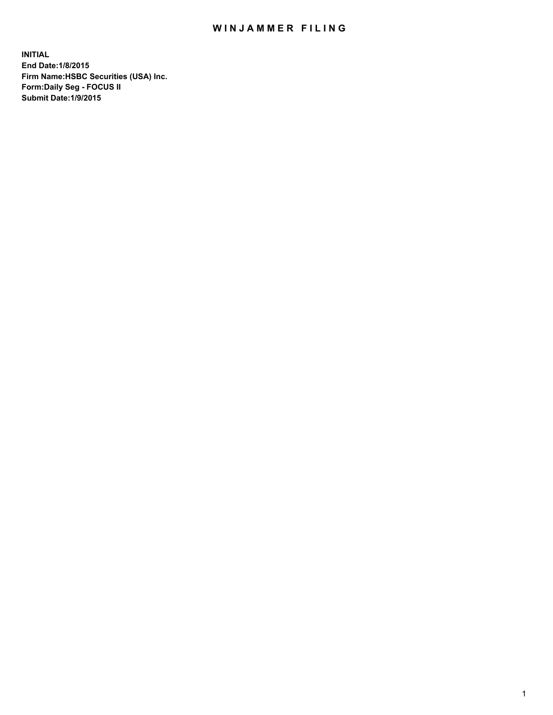## WIN JAMMER FILING

**INITIAL End Date:1/8/2015 Firm Name:HSBC Securities (USA) Inc. Form:Daily Seg - FOCUS II Submit Date:1/9/2015**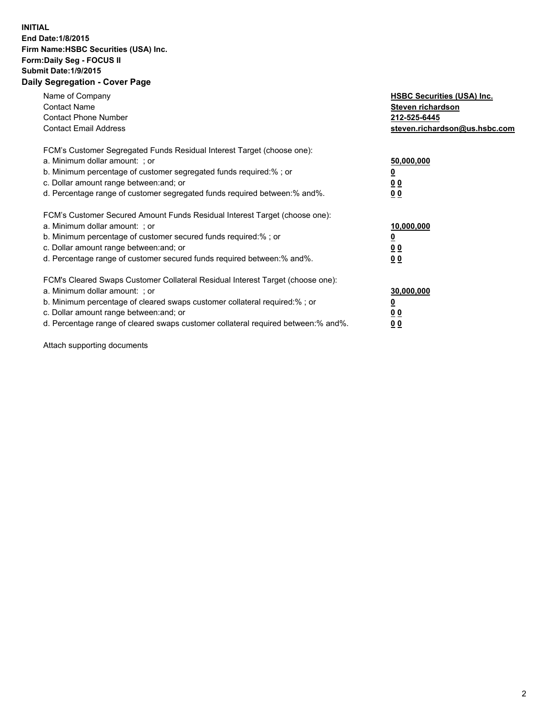## **INITIAL End Date:1/8/2015 Firm Name:HSBC Securities (USA) Inc. Form:Daily Seg - FOCUS II Submit Date:1/9/2015 Daily Segregation - Cover Page**

| Name of Company<br><b>Contact Name</b><br><b>Contact Phone Number</b><br><b>Contact Email Address</b>                                                                                                                                                                                                                         | <b>HSBC Securities (USA) Inc.</b><br>Steven richardson<br>212-525-6445<br>steven.richardson@us.hsbc.com |
|-------------------------------------------------------------------------------------------------------------------------------------------------------------------------------------------------------------------------------------------------------------------------------------------------------------------------------|---------------------------------------------------------------------------------------------------------|
| FCM's Customer Segregated Funds Residual Interest Target (choose one):<br>a. Minimum dollar amount: ; or<br>b. Minimum percentage of customer segregated funds required:% ; or<br>c. Dollar amount range between: and; or<br>d. Percentage range of customer segregated funds required between: % and %.                      | 50,000,000<br>0 <sub>0</sub><br>00                                                                      |
| FCM's Customer Secured Amount Funds Residual Interest Target (choose one):<br>a. Minimum dollar amount: ; or<br>b. Minimum percentage of customer secured funds required:%; or<br>c. Dollar amount range between: and; or<br>d. Percentage range of customer secured funds required between: % and %.                         | 10,000,000<br>00<br>00                                                                                  |
| FCM's Cleared Swaps Customer Collateral Residual Interest Target (choose one):<br>a. Minimum dollar amount: ; or<br>b. Minimum percentage of cleared swaps customer collateral required:%; or<br>c. Dollar amount range between: and; or<br>d. Percentage range of cleared swaps customer collateral required between:% and%. | 30,000,000<br>0 <sub>0</sub><br>00                                                                      |

Attach supporting documents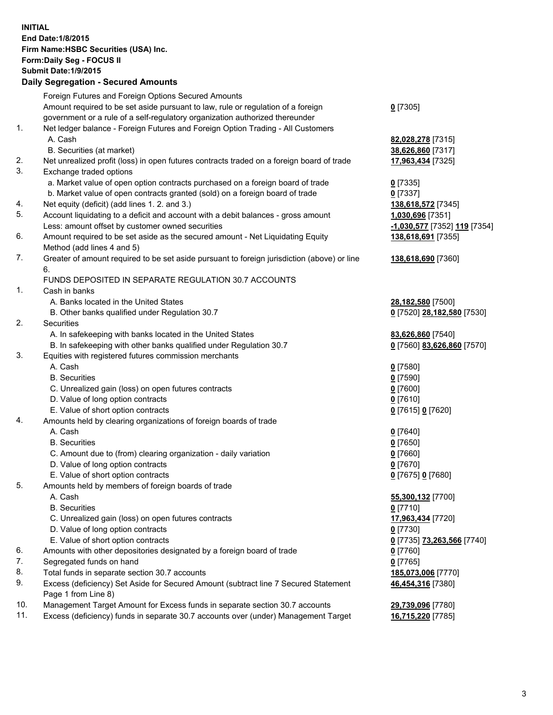**INITIAL End Date:1/8/2015 Firm Name:HSBC Securities (USA) Inc. Form:Daily Seg - FOCUS II Submit Date:1/9/2015 Daily Segregation - Secured Amounts** Foreign Futures and Foreign Options Secured Amounts Amount required to be set aside pursuant to law, rule or regulation of a foreign government or a rule of a self-regulatory organization authorized thereunder **0** [7305] 1. Net ledger balance - Foreign Futures and Foreign Option Trading - All Customers A. Cash **82,028,278** [7315] B. Securities (at market) **38,626,860** [7317] 2. Net unrealized profit (loss) in open futures contracts traded on a foreign board of trade **17,963,434** [7325] 3. Exchange traded options a. Market value of open option contracts purchased on a foreign board of trade **0** [7335] b. Market value of open contracts granted (sold) on a foreign board of trade **0** [7337] 4. Net equity (deficit) (add lines 1. 2. and 3.) **138,618,572** [7345] 5. Account liquidating to a deficit and account with a debit balances - gross amount **1,030,696** [7351] Less: amount offset by customer owned securities **-1,030,577** [7352] **119** [7354] 6. Amount required to be set aside as the secured amount - Net Liquidating Equity Method (add lines 4 and 5) **138,618,691** [7355] 7. Greater of amount required to be set aside pursuant to foreign jurisdiction (above) or line 6. **138,618,690** [7360] FUNDS DEPOSITED IN SEPARATE REGULATION 30.7 ACCOUNTS 1. Cash in banks A. Banks located in the United States **28,182,580** [7500] B. Other banks qualified under Regulation 30.7 **0** [7520] **28,182,580** [7530] 2. Securities A. In safekeeping with banks located in the United States **83,626,860** [7540] B. In safekeeping with other banks qualified under Regulation 30.7 **0** [7560] **83,626,860** [7570] 3. Equities with registered futures commission merchants A. Cash **0** [7580] B. Securities **0** [7590] C. Unrealized gain (loss) on open futures contracts **0** [7600] D. Value of long option contracts **0** [7610] E. Value of short option contracts **0** [7615] **0** [7620] 4. Amounts held by clearing organizations of foreign boards of trade A. Cash **0** [7640] B. Securities **0** [7650] C. Amount due to (from) clearing organization - daily variation **0** [7660] D. Value of long option contracts **0** [7670] E. Value of short option contracts **0** [7675] **0** [7680] 5. Amounts held by members of foreign boards of trade A. Cash **55,300,132** [7700] B. Securities **0** [7710] C. Unrealized gain (loss) on open futures contracts **17,963,434** [7720] D. Value of long option contracts **0** [7730] E. Value of short option contracts **0** [7735] **73,263,566** [7740] 6. Amounts with other depositories designated by a foreign board of trade **0** [7760] 7. Segregated funds on hand **0** [7765] 8. Total funds in separate section 30.7 accounts **185,073,006** [7770] 9. Excess (deficiency) Set Aside for Secured Amount (subtract line 7 Secured Statement Page 1 from Line 8) **46,454,316** [7380] 10. Management Target Amount for Excess funds in separate section 30.7 accounts **29,739,096** [7780] 11. Excess (deficiency) funds in separate 30.7 accounts over (under) Management Target **16,715,220** [7785]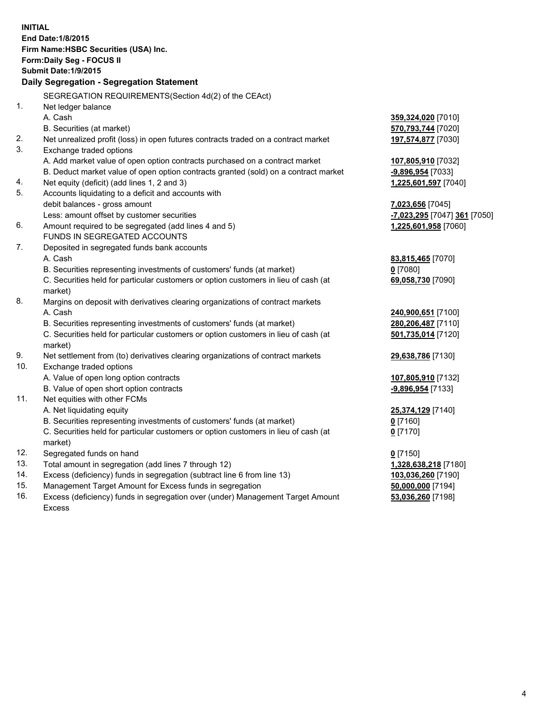| <b>INITIAL</b>                                             | End Date: 1/8/2015<br>Firm Name: HSBC Securities (USA) Inc.                                                   |                              |  |  |
|------------------------------------------------------------|---------------------------------------------------------------------------------------------------------------|------------------------------|--|--|
| Form: Daily Seg - FOCUS II<br><b>Submit Date: 1/9/2015</b> |                                                                                                               |                              |  |  |
|                                                            | Daily Segregation - Segregation Statement                                                                     |                              |  |  |
|                                                            |                                                                                                               |                              |  |  |
|                                                            | SEGREGATION REQUIREMENTS(Section 4d(2) of the CEAct)                                                          |                              |  |  |
| 1.                                                         | Net ledger balance                                                                                            |                              |  |  |
|                                                            | A. Cash                                                                                                       | 359,324,020 [7010]           |  |  |
|                                                            | B. Securities (at market)                                                                                     | 570,793,744 [7020]           |  |  |
| 2.<br>3.                                                   | Net unrealized profit (loss) in open futures contracts traded on a contract market<br>Exchange traded options | 197,574,877 [7030]           |  |  |
|                                                            | A. Add market value of open option contracts purchased on a contract market                                   | 107,805,910 [7032]           |  |  |
|                                                            | B. Deduct market value of open option contracts granted (sold) on a contract market                           | -9,896,954 [7033]            |  |  |
| 4.                                                         | Net equity (deficit) (add lines 1, 2 and 3)                                                                   | 1,225,601,597 [7040]         |  |  |
| 5.                                                         | Accounts liquidating to a deficit and accounts with                                                           |                              |  |  |
|                                                            | debit balances - gross amount                                                                                 | 7,023,656 [7045]             |  |  |
|                                                            | Less: amount offset by customer securities                                                                    | -7,023,295 [7047] 361 [7050] |  |  |
| 6.                                                         | Amount required to be segregated (add lines 4 and 5)                                                          | 1,225,601,958 [7060]         |  |  |
|                                                            | FUNDS IN SEGREGATED ACCOUNTS                                                                                  |                              |  |  |
| 7.                                                         | Deposited in segregated funds bank accounts                                                                   |                              |  |  |
|                                                            | A. Cash                                                                                                       | 83,815,465 [7070]            |  |  |
|                                                            | B. Securities representing investments of customers' funds (at market)                                        | $0$ [7080]                   |  |  |
|                                                            | C. Securities held for particular customers or option customers in lieu of cash (at<br>market)                | 69,058,730 [7090]            |  |  |
| 8.                                                         | Margins on deposit with derivatives clearing organizations of contract markets                                |                              |  |  |
|                                                            | A. Cash                                                                                                       | 240,900,651 [7100]           |  |  |
|                                                            | B. Securities representing investments of customers' funds (at market)                                        | 280,206,487 [7110]           |  |  |
|                                                            | C. Securities held for particular customers or option customers in lieu of cash (at<br>market)                | 501,735,014 [7120]           |  |  |
| 9.                                                         | Net settlement from (to) derivatives clearing organizations of contract markets                               | 29,638,786 [7130]            |  |  |
| 10.                                                        | Exchange traded options                                                                                       |                              |  |  |
|                                                            | A. Value of open long option contracts                                                                        | 107,805,910 [7132]           |  |  |
|                                                            | B. Value of open short option contracts                                                                       | -9,896,954 [7133]            |  |  |
| 11.                                                        | Net equities with other FCMs                                                                                  |                              |  |  |
|                                                            | A. Net liquidating equity                                                                                     | 25,374,129 [7140]            |  |  |
|                                                            | B. Securities representing investments of customers' funds (at market)                                        | 0 [7160]                     |  |  |
|                                                            | C. Securities held for particular customers or option customers in lieu of cash (at<br>market)                | $0$ [7170]                   |  |  |
| 12.                                                        | Segregated funds on hand                                                                                      | $0$ [7150]                   |  |  |
| 13.                                                        | Total amount in segregation (add lines 7 through 12)                                                          | 1,328,638,218 [7180]         |  |  |
| 14.                                                        | Excess (deficiency) funds in segregation (subtract line 6 from line 13)                                       | 103,036,260 [7190]           |  |  |
| 15.                                                        | Management Target Amount for Excess funds in segregation                                                      | 50,000,000 [7194]            |  |  |
| 16.                                                        | Excess (deficiency) funds in segregation over (under) Management Target Amount                                | 53,036,260 [7198]            |  |  |

16. Excess (deficiency) funds in segregation over (under) Management Target Amount Excess